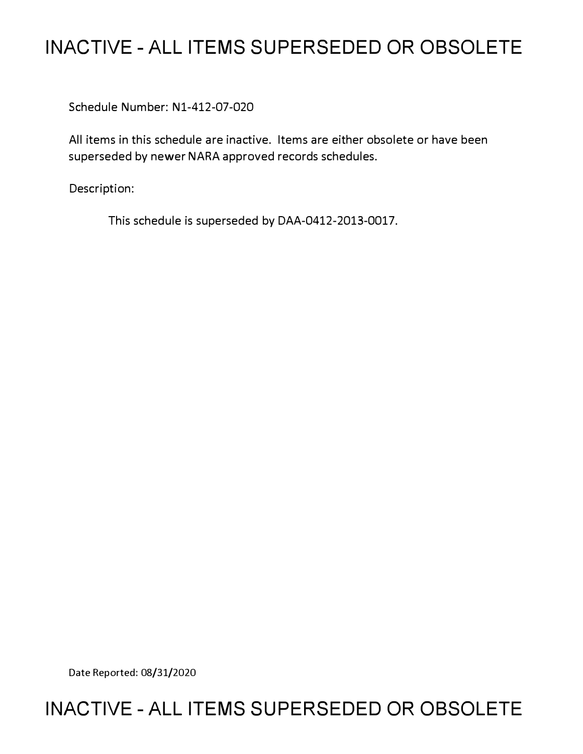# **INACTIVE - ALL ITEMS SUPERSEDED OR OBSOLETE**

Schedule Number: Nl-412-07-020

All items in this schedule are inactive. Items are either obsolete or have been superseded by newer NARA approved records schedules.

Description:

This schedule is superseded by DAA-0412-2013-0017.

Date Reported: 08/31/2020

# **INACTIVE - ALL ITEMS SUPERSEDED OR OBSOLETE**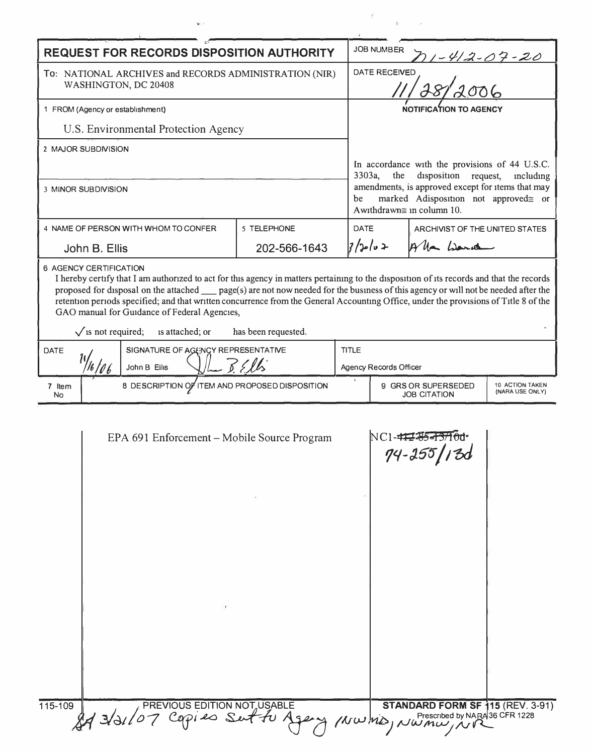| <b>REQUEST FOR RECORDS DISPOSITION AUTHORITY</b>                                                                                                                                                                                                                                                                                                                                                                                                                                                                                                                                       |              | <b>JOB NUMBER</b>                                                                                                                                                                                                                              | $1 - 412 - 07 - 20$                               |                                    |  |
|----------------------------------------------------------------------------------------------------------------------------------------------------------------------------------------------------------------------------------------------------------------------------------------------------------------------------------------------------------------------------------------------------------------------------------------------------------------------------------------------------------------------------------------------------------------------------------------|--------------|------------------------------------------------------------------------------------------------------------------------------------------------------------------------------------------------------------------------------------------------|---------------------------------------------------|------------------------------------|--|
| To: NATIONAL ARCHIVES and RECORDS ADMINISTRATION (NIR)<br>WASHINGTON, DC 20408                                                                                                                                                                                                                                                                                                                                                                                                                                                                                                         |              |                                                                                                                                                                                                                                                | DATE RECEIVED                                     |                                    |  |
| 1 FROM (Agency or establishment)                                                                                                                                                                                                                                                                                                                                                                                                                                                                                                                                                       |              |                                                                                                                                                                                                                                                | <b>NOTIFICATION TO AGENCY</b>                     |                                    |  |
| U.S. Environmental Protection Agency                                                                                                                                                                                                                                                                                                                                                                                                                                                                                                                                                   |              |                                                                                                                                                                                                                                                |                                                   |                                    |  |
| 2 MAJOR SUBDIVISION                                                                                                                                                                                                                                                                                                                                                                                                                                                                                                                                                                    |              |                                                                                                                                                                                                                                                |                                                   |                                    |  |
| 3 MINOR SUBDIVISION                                                                                                                                                                                                                                                                                                                                                                                                                                                                                                                                                                    |              | In accordance with the provisions of 44 U.S.C.<br>disposition<br>3303a,<br>the<br>request,<br>including<br>amendments, is approved except for items that may<br>marked Adisposition not approved≅ or<br>be<br>Awithdrawn $\cong$ in column 10. |                                                   |                                    |  |
| 4 NAME OF PERSON WITH WHOM TO CONFER                                                                                                                                                                                                                                                                                                                                                                                                                                                                                                                                                   | 5 TELEPHONE  | DATE                                                                                                                                                                                                                                           | ARCHIVIST OF THE UNITED STATES                    |                                    |  |
| John B. Ellis                                                                                                                                                                                                                                                                                                                                                                                                                                                                                                                                                                          | 202-566-1643 | 3/2007                                                                                                                                                                                                                                         | Un berne                                          |                                    |  |
| <b>6 AGENCY CERTIFICATION</b><br>I hereby certify that I am authorized to act for this agency in matters pertaining to the disposition of its records and that the records<br>proposed for disposal on the attached _____ page(s) are not now needed for the business of this agency or will not be needed after the<br>retention periods specified; and that written concurrence from the General Accounting Office, under the provisions of Title 8 of the<br>GAO manual for Guidance of Federal Agencies,<br>$\sqrt{\ }$ is not required;<br>is attached; or<br>has been requested. |              |                                                                                                                                                                                                                                                |                                                   |                                    |  |
| SIGNATURE OF AGENCY REPRESENTATIVE<br>DATE                                                                                                                                                                                                                                                                                                                                                                                                                                                                                                                                             |              | <b>TITLE</b>                                                                                                                                                                                                                                   |                                                   |                                    |  |
| John B Ellis                                                                                                                                                                                                                                                                                                                                                                                                                                                                                                                                                                           |              |                                                                                                                                                                                                                                                | <b>Agency Records Officer</b>                     |                                    |  |
| 8 DESCRIPTION OF ITEM AND PROPOSED DISPOSITION<br>7 Item<br>No.                                                                                                                                                                                                                                                                                                                                                                                                                                                                                                                        |              |                                                                                                                                                                                                                                                | 9 GRS OR SUPERSEDED<br><b>JOB CITATION</b>        | 10 ACTION TAKEN<br>(NARA USE ONLY) |  |
| EPA 691 Enforcement - Mobile Source Program<br>115-109<br>PREVIOUS EDITION NOT USABLE                                                                                                                                                                                                                                                                                                                                                                                                                                                                                                  |              | NC1-447-7                                                                                                                                                                                                                                      | 74-255<br><b>STANDARD FORM SF 115 (REV. 3-91)</b> |                                    |  |
| A 3/31/07 Capies Sutto Agery MWMD, NWMW, NR                                                                                                                                                                                                                                                                                                                                                                                                                                                                                                                                            |              |                                                                                                                                                                                                                                                |                                                   |                                    |  |

 $\tilde{\mathbf{r}}$  :

 $\overleftrightarrow{e}$ 

 $\mathbf{t}$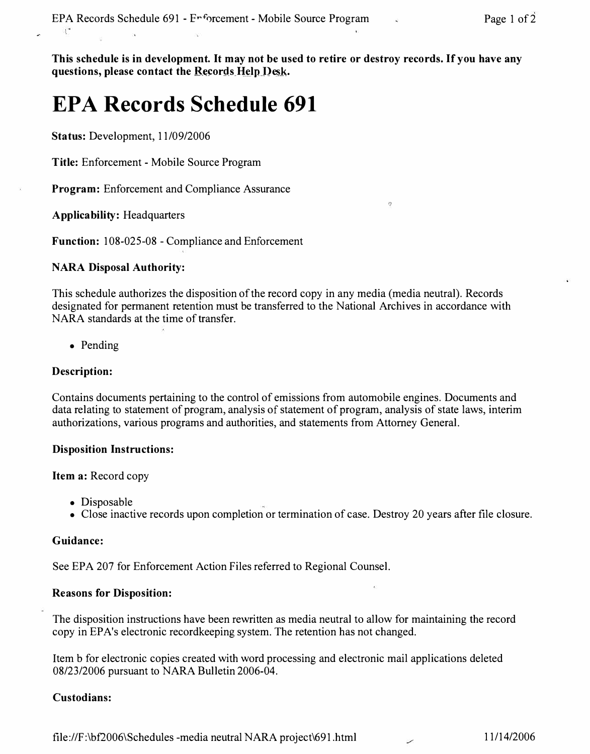**This schedule is in development. It may not be used to retire or destroy records. If you have any**  questions, please contact the Records Help Desk.

# **EPA Records Schedule 691**

**Status:** Development, 11/09/2006

**Title:** Enforcement - Mobile Source Program

**Program:** Enforcement and Compliance Assurance

**Applicability:** Headquarters

**Function:** 108-025-08 - Compliance and Enforcement

### **NARA Disposal Authority:**

This schedule authorizes the disposition of the record copy in any media (media neutral). Records designated for permanent retention must be transferred to the National Archives in accordance with NARA standards at the time of transfer.

• Pending

### **Description:**

 $\mathcal{X}^*$ 

Contains documents pertaining to the control of emissions from automobile engines. Documents and data relating to statement of program, analysis of statement of program, analysis of state laws, interim authorizations, various programs and authorities, and statements from Attorney General.

#### **Disposition Instructions:**

**Item a:** Record copy

- Disposable
- Close inactive records upon completion or termination of case. Destroy 20 years after file closure.

#### **Guidance:**

See EPA 207 for Enforcement Action Files referred to Regional Counsel.

#### **Reasons for Disposition:**

The disposition instructions have been rewritten as media neutral to allow for maintaining the record copy in EPA's electronic recordkeeping system. The retention has not changed.

Item b for electronic copies created with word processing and electronic mail applications deleted 08/23/2006 pursuant to NARA Bulletin 2006-04.

#### **Custodians:**

<file://F:\bf2006\Schedules>-media neutral NARA project\691.html  $\frac{11}{14/2006}$